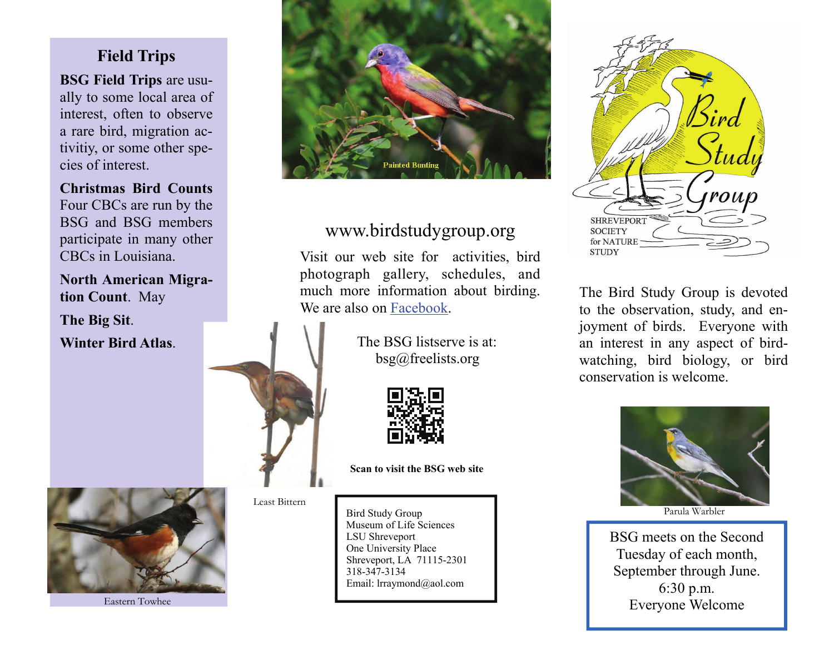## **Field Trips**

**BSG Field Trips** are usually to some local area of interest, often to observe a rare bird, migration activitiy, or some other species of interest.

**Christmas Bird Counts** Four CBCs are run by the BSG and BSG members participate in many other CBCs in Louisiana.

**North American Migration Count**. May

**The Big Sit**.

**Winter Bird Atlas**.



# www.birdstudygroup.org

Visit our web site for activities, bird photograph gallery, schedules, and much more information about birding. We are also on [Facebook](http://www.facebook.com/pages/Shreveport-Bird-Study-Group/133621614792?ref=search&sid=100000276665603.1698169516..1&v=wall).

> The BSG listserve is at: bsg@freelists.org



**Scan to visit the BSG web site** 

Least Bittern

Bird Study Group Museum of Life Sciences LSU Shrevepor<sup>t</sup> One University Place Shreveport, LA 71115-2301 318-347-3134Email: lrraymond@aol.com



The Bird Study Group is devoted to the observation, study, and enjoyment of birds. Everyone with an interest in any aspect of birdwatching, bird biology, or bird conservation is welcome.



Parula Warbler

BSG meets on the Second Tuesday of each month, September through June. 6:30 p.m. Everyone Welcome



Eastern Towhee